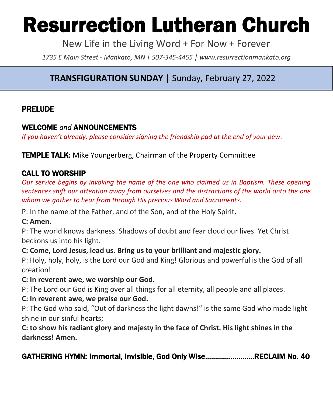# Resurrection Lutheran Church

New Life in the Living Word + For Now + Forever

*1735 E Main Street - Mankato, MN | 507-345-4455 | [www.resurrectionmankato.org](http://www.resurrectionmankato.org/)*

# **TRANSFIGURATION SUNDAY** | Sunday, February 27, 2022

*\_\_\_\_\_\_\_\_\_\_\_\_\_\_\_\_\_\_\_\_\_\_\_\_\_\_\_\_\_\_\_\_\_\_\_\_\_\_\_\_\_\_\_\_\_\_\_\_\_\_\_\_\_\_\_\_\_\_\_\_\_\_\_\_\_\_\_\_\_\_\_\_\_\_\_\_\_\_\_*

#### PRELUDE

#### WELCOME *and* ANNOUNCEMENTS

*If you haven't already, please consider signing the friendship pad at the end of your pew.* 

**TEMPLE TALK:** Mike Youngerberg, Chairman of the Property Committee

# CALL TO WORSHIP

*Our service begins by invoking the name of the one who claimed us in Baptism. These opening sentences shift our attention away from ourselves and the distractions of the world onto the one whom we gather to hear from through His precious Word and Sacraments.* 

P: In the name of the Father, and of the Son, and of the Holy Spirit.

#### **C: Amen.**

P: The world knows darkness. Shadows of doubt and fear cloud our lives. Yet Christ beckons us into his light.

**C: Come, Lord Jesus, lead us. Bring us to your brilliant and majestic glory.**

P: Holy, holy, holy, is the Lord our God and King! Glorious and powerful is the God of all creation!

#### **C: In reverent awe, we worship our God.**

P: The Lord our God is King over all things for all eternity, all people and all places.

#### **C: In reverent awe, we praise our God.**

P: The God who said, "Out of darkness the light dawns!" is the same God who made light shine in our sinful hearts;

**C: to show his radiant glory and majesty in the face of Christ. His light shines in the darkness! Amen.** 

GATHERING HYMN: Immortal, Invisible, God Only Wise…………………….RECLAIM No. 40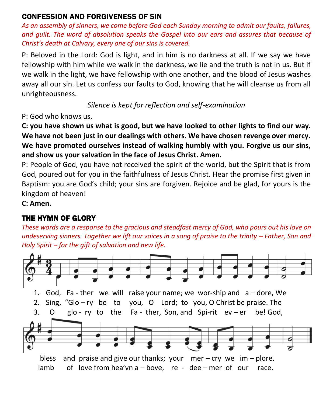#### CONFESSION AND FORGIVENESS OF SIN

*As an assembly of sinners, we come before God each Sunday morning to admit our faults, failures, and guilt. The word of absolution speaks the Gospel into our ears and assures that because of Christ's death at Calvary, every one of our sins is covered.* 

P: Beloved in the Lord: God is light, and in him is no darkness at all. If we say we have fellowship with him while we walk in the darkness, we lie and the truth is not in us. But if we walk in the light, we have fellowship with one another, and the blood of Jesus washes away all our sin. Let us confess our faults to God, knowing that he will cleanse us from all unrighteousness.

*Silence is kept for reflection and self-examination*

P: God who knows us,

**C: you have shown us what is good, but we have looked to other lights to find our way. We have not been just in our dealings with others. We have chosen revenge over mercy. We have promoted ourselves instead of walking humbly with you. Forgive us our sins, and show us your salvation in the face of Jesus Christ. Amen.**

P: People of God, you have not received the spirit of the world, but the Spirit that is from God, poured out for you in the faithfulness of Jesus Christ. Hear the promise first given in Baptism: you are God's child; your sins are forgiven. Rejoice and be glad, for yours is the kingdom of heaven!

**C: Amen.** 

# THE HYMN OF GLORY

*These words are a response to the gracious and steadfast mercy of God, who pours out his love on undeserving sinners. Together we lift our voices in a song of praise to the trinity – Father, Son and Holy Spirit – for the gift of salvation and new life.* 

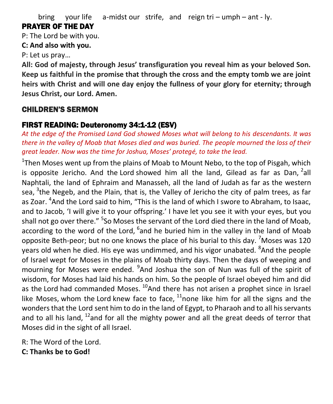bring your life a-midst our strife, and reign tri – umph – ant - ly.

# PRAYER OF THE DAY

P: The Lord be with you.

#### **C: And also with you.**

P: Let us pray…

**All: God of majesty, through Jesus' transfiguration you reveal him as your beloved Son. Keep us faithful in the promise that through the cross and the empty tomb we are joint heirs with Christ and will one day enjoy the fullness of your glory for eternity; through Jesus Christ, our Lord. Amen.**

# CHILDREN'S SERMON

# FIRST READING: Deuteronomy 34:1-12 (ESV)

*At the edge of the Promised Land God showed Moses what will belong to his descendants. It was there in the valley of Moab that Moses died and was buried. The people mourned the loss of their great leader. Now was the time for Joshua, Moses' protegé, to take the lead.* 

<sup>1</sup>Then Moses went up from the plains of Moab to Mount Nebo, to the top of Pisgah, which is opposite Jericho. And the Lord showed him all the land, Gilead as far as Dan,  $2$ all Naphtali, the land of Ephraim and Manasseh, all the land of Judah as far as the western sea, <sup>3</sup>the Negeb, and the Plain, that is, the Valley of Jericho the city of palm trees, as far as Zoar. <sup>4</sup>And the Lord said to him, "This is the land of which I swore to Abraham, to Isaac, and to Jacob, 'I will give it to your offspring.' I have let you see it with your eyes, but you shall not go over there." <sup>5</sup>So Moses the servant of the Lord died there in the land of Moab, according to the word of the Lord, <sup>6</sup>and he buried him in the valley in the land of Moab opposite Beth-peor; but no one knows the place of his burial to this day.  $7$  Moses was 120 years old when he died. His eye was undimmed, and his vigor unabated. <sup>8</sup>And the people of Israel wept for Moses in the plains of Moab thirty days. Then the days of weeping and mourning for Moses were ended. <sup>9</sup>And Joshua the son of Nun was full of the spirit of wisdom, for Moses had laid his hands on him. So the people of Israel obeyed him and did as the Lord had commanded Moses.  $^{10}$ And there has not arisen a prophet since in Israel like Moses, whom the Lord knew face to face,  $11$ none like him for all the signs and the wonders that the Lord sent him to do in the land of Egypt, to Pharaoh and to all his servants and to all his land,  $^{12}$ and for all the mighty power and all the great deeds of terror that Moses did in the sight of all Israel.

R: The Word of the Lord.

**C: Thanks be to God!**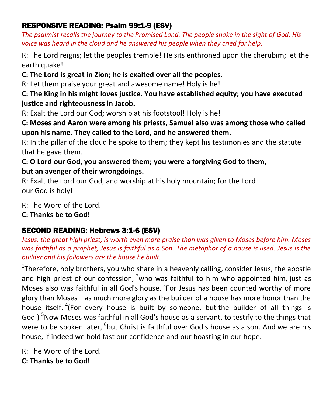# RESPONSIVE READING: Psalm 99:1-9 (ESV)

*The psalmist recalls the journey to the Promised Land. The people shake in the sight of God. His voice was heard in the cloud and he answered his people when they cried for help.* 

R: The Lord reigns; let the peoples tremble! He sits enthroned upon the cherubim; let the earth quake!

**C: The Lord is great in Zion; he is exalted over all the peoples.**

R: Let them praise your great and awesome name! Holy is he!

#### **C: The King in his might loves justice. You have established equity; you have executed justice and righteousness in Jacob.**

R: Exalt the Lord our God; worship at his footstool! Holy is he!

#### **C: Moses and Aaron were among his priests, Samuel also was among those who called upon his name. They called to the Lord, and he answered them.**

R: In the pillar of the cloud he spoke to them; they kept his testimonies and the statute that he gave them.

# **C: O Lord our God, you answered them; you were a forgiving God to them, but an avenger of their wrongdoings.**

R: Exalt the Lord our God, and worship at his holy mountain; for the Lord our God is holy!

R: The Word of the Lord.

# **C: Thanks be to God!**

# SECOND READING: Hebrews 3:1-6 (ESV)

*Jesus, the great high priest, is worth even more praise than was given to Moses before him. Moses was faithful as a prophet; Jesus is faithful as a Son. The metaphor of a house is used: Jesus is the builder and his followers are the house he built.* 

<sup>1</sup>Therefore, holy brothers, you who share in a heavenly calling, consider Jesus, the apostle and high priest of our confession,  $2\pi$  who was faithful to him who appointed him, just as Moses also was faithful in all God's house. <sup>3</sup>For Jesus has been counted worthy of more glory than Moses—as much more glory as the builder of a house has more honor than the house itself. <sup>4</sup>(For every house is built by someone, but the builder of all things is God.)<sup>5</sup>Now Moses was faithful in all God's house as a servant, to testify to the things that were to be spoken later, <sup>6</sup>but Christ is faithful over God's house as a son. And we are his house, if indeed we hold fast our confidence and our boasting in our hope.

R: The Word of the Lord.

**C: Thanks be to God!**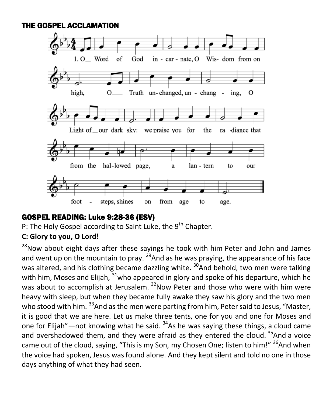#### THE GOSPEL ACCLAMATION



#### GOSPEL READING: Luke 9:28-36 (ESV)

P: The Holy Gospel according to Saint Luke, the 9<sup>th</sup> Chapter.

#### **C: Glory to you, O Lord!**

 $28$ Now about eight days after these sayings he took with him Peter and John and James and went up on the mountain to pray.  $^{29}$  And as he was praying, the appearance of his face was altered, and his clothing became dazzling white.  $30$ And behold, two men were talking with him, Moses and Elijah,  $31$  who appeared in glory and spoke of his departure, which he was about to accomplish at Jerusalem.  $32$ Now Peter and those who were with him were heavy with sleep, but when they became fully awake they saw his glory and the two men who stood with him. <sup>33</sup>And as the men were parting from him, Peter said to Jesus, "Master, it is good that we are here. Let us make three tents, one for you and one for Moses and one for Elijah"—not knowing what he said.  $34$ As he was saying these things, a cloud came and overshadowed them, and they were afraid as they entered the cloud.  $35$ And a voice came out of the cloud, saying, "This is my Son, my Chosen One; listen to him!"  $36$ And when the voice had spoken, Jesus was found alone. And they kept silent and told no one in those days anything of what they had seen.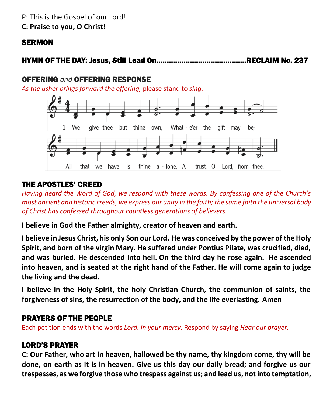#### P: This is the Gospel of our Lord! **C: Praise to you, O Christ!**

#### **SERMON**

# HYMN OF THE DAY: Jesus, Still Lead On…………………………………….RECLAIM No. 237

#### OFFERING *and* OFFERING RESPONSE

*As the usher brings forward the offering,* please stand to *sing:*



#### THE APOSTLES' CREED

*Having heard the Word of God, we respond with these words. By confessing one of the Church's most ancient and historic creeds, we express our unity in the faith; the same faith the universal body of Christ has confessed throughout countless generations of believers.* 

**I believe in God the Father almighty, creator of heaven and earth.**

**I believe in Jesus Christ, his only Son our Lord. He was conceived by the power of the Holy Spirit, and born of the virgin Mary. He suffered under Pontius Pilate, was crucified, died, and was buried. He descended into hell. On the third day he rose again. He ascended into heaven, and is seated at the right hand of the Father. He will come again to judge the living and the dead.**

**I believe in the Holy Spirit, the holy Christian Church, the communion of saints, the forgiveness of sins, the resurrection of the body, and the life everlasting. Amen**

#### PRAYERS OF THE PEOPLE

Each petition ends with the words *Lord, in your mercy*. Respond by saying *Hear our prayer.*

#### LORD'S PRAYER

**C: Our Father, who art in heaven, hallowed be thy name, thy kingdom come, thy will be done, on earth as it is in heaven. Give us this day our daily bread; and forgive us our trespasses, as we forgive those who trespass against us; and lead us, not into temptation,**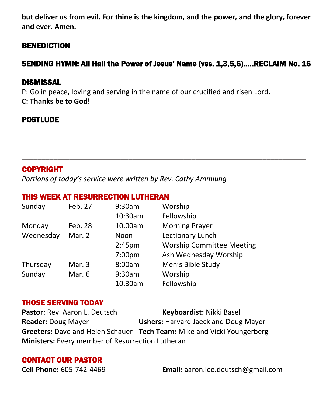**but deliver us from evil. For thine is the kingdom, and the power, and the glory, forever and ever. Amen.**

#### **BENEDICTION**

# SENDING HYMN: All Hail the Power of Jesus' Name (vss. 1,3,5,6)…..RECLAIM No. 16

\_\_\_\_\_\_\_\_\_\_\_\_\_\_\_\_\_\_\_\_\_\_\_\_\_\_\_\_\_\_\_\_\_\_\_\_\_\_\_\_\_\_\_\_\_\_\_\_\_\_\_\_\_\_\_\_\_\_\_\_\_\_\_\_\_\_\_\_\_\_\_\_

#### DISMISSAL

P: Go in peace, loving and serving in the name of our crucified and risen Lord. **C: Thanks be to God!**

#### **POSTLUDE**

#### COPYRIGHT

*Portions of today's service were written by Rev. Cathy Ammlung*

#### THIS WEEK AT RESURRECTION LUTHERAN

| Sunday    | Feb. 27 | 9:30am             | Worship                          |
|-----------|---------|--------------------|----------------------------------|
|           |         | 10:30am            | Fellowship                       |
| Monday    | Feb. 28 | 10:00am            | <b>Morning Prayer</b>            |
| Wednesday | Mar. 2  | Noon               | Lectionary Lunch                 |
|           |         | 2:45 <sub>pm</sub> | <b>Worship Committee Meeting</b> |
|           |         | 7:00pm             | Ash Wednesday Worship            |
| Thursday  | Mar. 3  | 8:00am             | Men's Bible Study                |
| Sunday    | Mar. 6  | 9:30am             | Worship                          |
|           |         | 10:30am            | Fellowship                       |

#### THOSE SERVING TODAY

Pastor: Rev. Aaron L. Deutsch **Keyboardist:** Nikki Basel **Reader:** Doug Mayer **Ushers:** Harvard Jaeck and Doug Mayer **Greeters:** Dave and Helen Schauer **Tech Team:** Mike and Vicki Youngerberg **Ministers:** Every member of Resurrection Lutheran

#### CONTACT OUR PASTOR

**Cell Phone:** 605-742-4469 **Email:** [aaron.lee.deutsch@gmail.com](mailto:aaron.lee.deutsch@gmail.com)